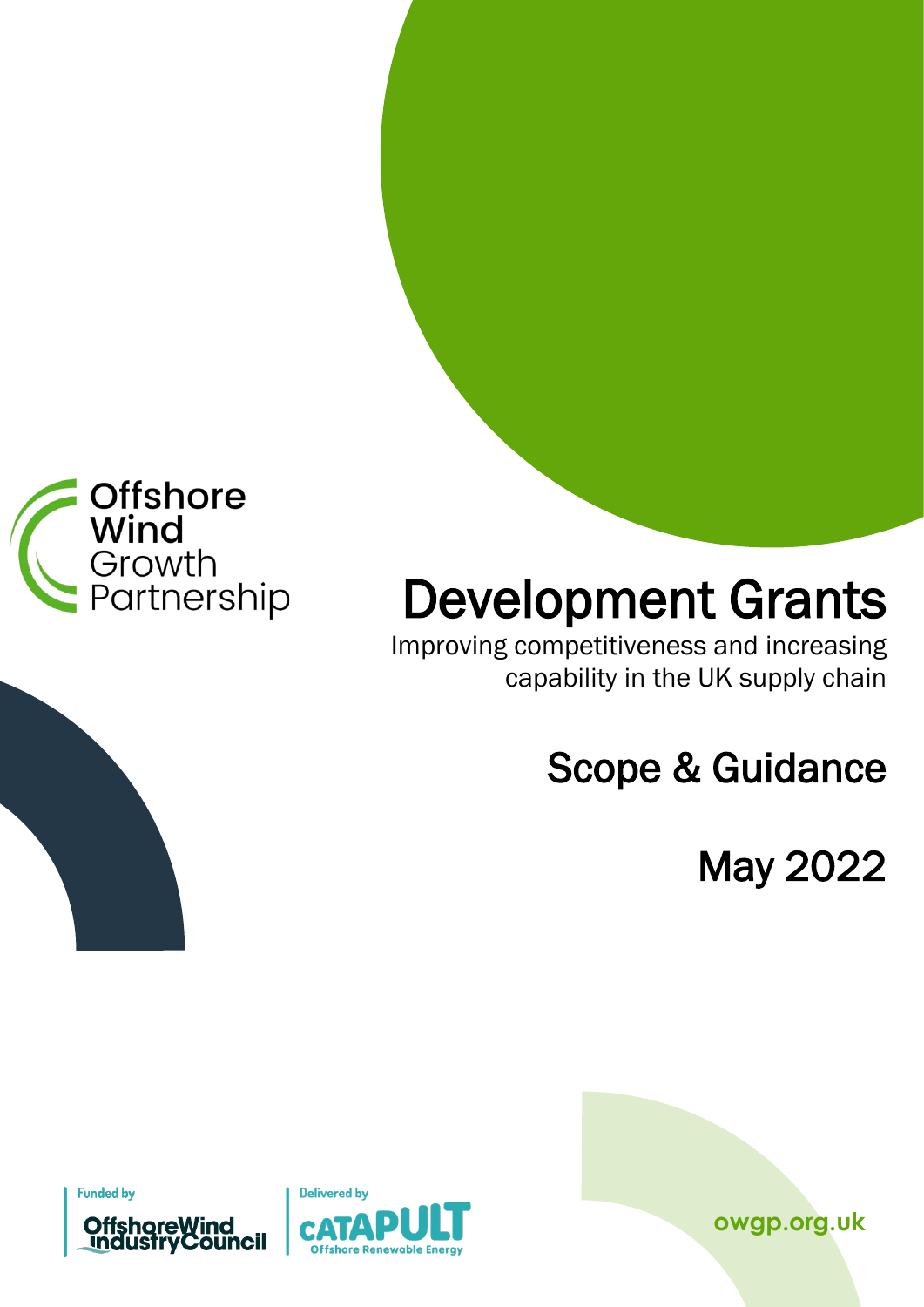

# Development Grants<br>Improving competitiveness and increasing

**COPITIENT GIGNIS<br>Competitiveness and increasing<br>Capability in the UK supply chain** 

Scope & Guidance

May 2022

**Funded by** 



**owgp.org.uk**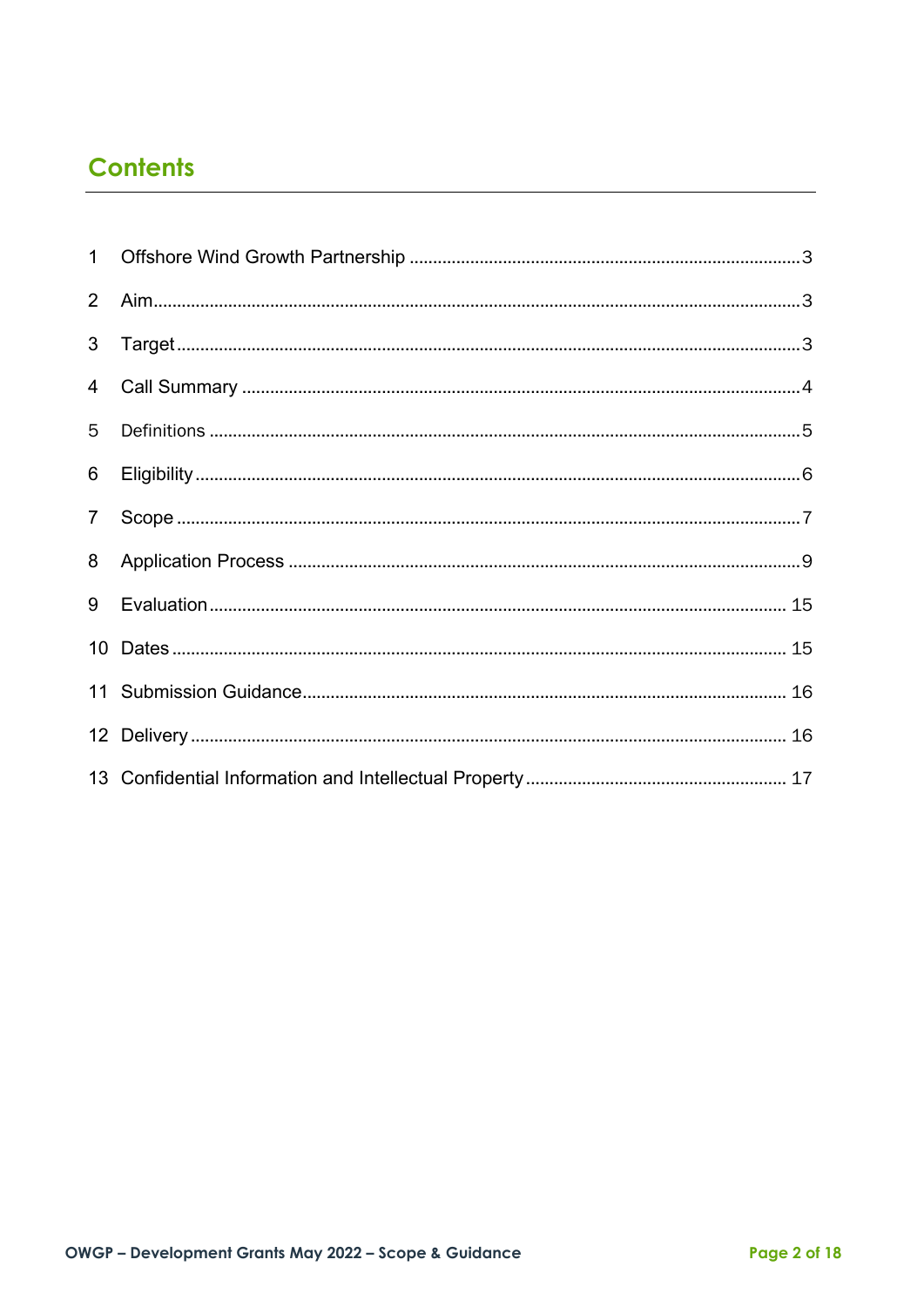# **Contents**

| 2 <sup>1</sup> |  |
|----------------|--|
| 3 <sup>1</sup> |  |
|                |  |
| 5              |  |
| 6              |  |
| 7 <sup>7</sup> |  |
| 8              |  |
|                |  |
|                |  |
|                |  |
|                |  |
|                |  |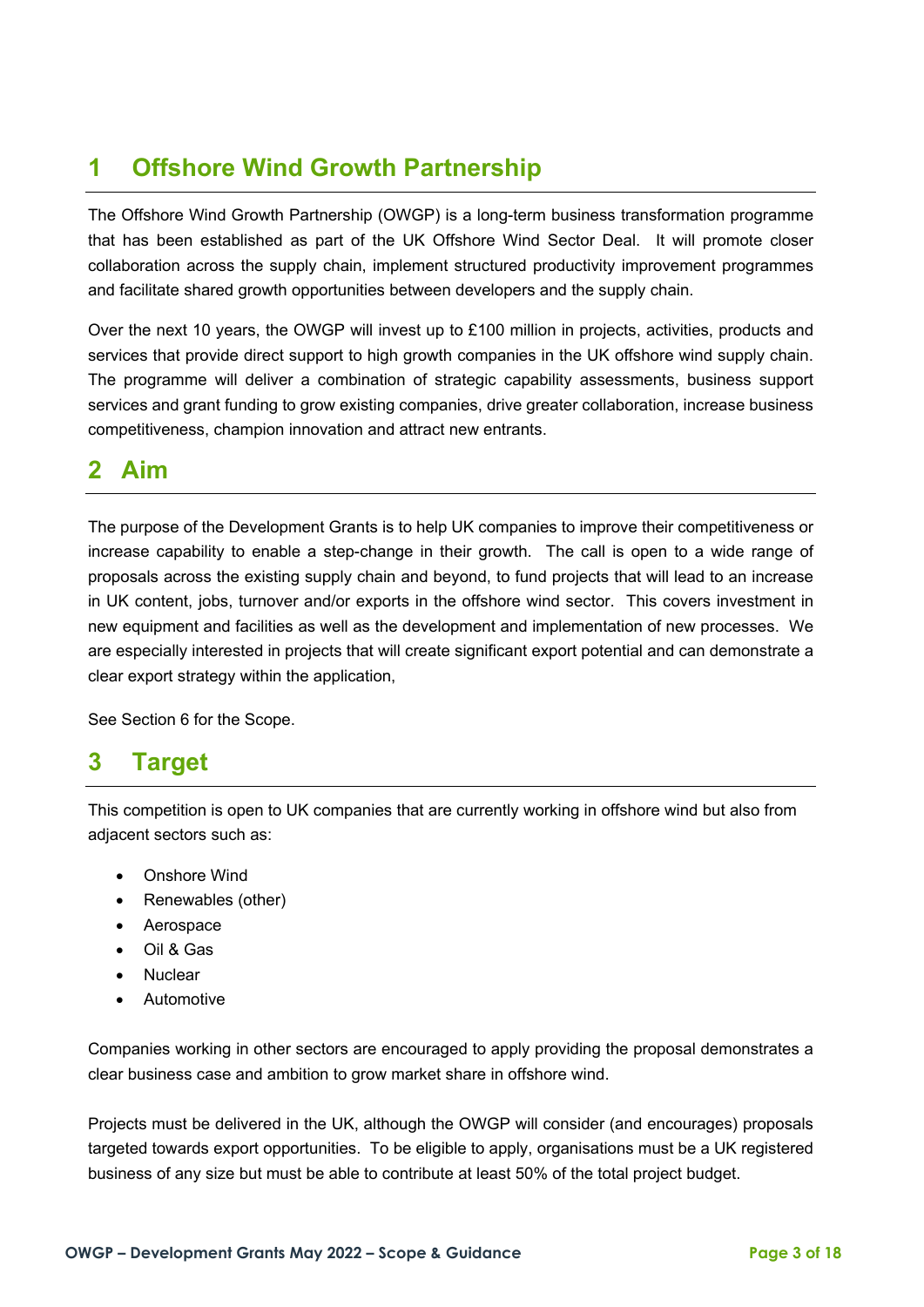# <span id="page-2-0"></span>**1 Offshore Wind Growth Partnership**

The Offshore Wind Growth Partnership (OWGP) is a long-term business transformation programme that has been established as part of the UK Offshore Wind Sector Deal. It will promote closer collaboration across the supply chain, implement structured productivity improvement programmes and facilitate shared growth opportunities between developers and the supply chain.

Over the next 10 years, the OWGP will invest up to £100 million in projects, activities, products and services that provide direct support to high growth companies in the UK offshore wind supply chain. The programme will deliver a combination of strategic capability assessments, business support services and grant funding to grow existing companies, drive greater collaboration, increase business competitiveness, champion innovation and attract new entrants.

## <span id="page-2-1"></span>**2 Aim**

The purpose of the Development Grants is to help UK companies to improve their competitiveness or increase capability to enable a step-change in their growth. The call is open to a wide range of proposals across the existing supply chain and beyond, to fund projects that will lead to an increase in UK content, jobs, turnover and/or exports in the offshore wind sector. This covers investment in new equipment and facilities as well as the development and implementation of new processes. We are especially interested in projects that will create significant export potential and can demonstrate a clear export strategy within the application,

See Section 6 for the Scope.

## <span id="page-2-2"></span>**3 Target**

This competition is open to UK companies that are currently working in offshore wind but also from adjacent sectors such as:

- Onshore Wind
- Renewables (other)
- Aerospace
- Oil & Gas
- **Nuclear**
- Automotive

Companies working in other sectors are encouraged to apply providing the proposal demonstrates a clear business case and ambition to grow market share in offshore wind.

Projects must be delivered in the UK, although the OWGP will consider (and encourages) proposals targeted towards export opportunities. To be eligible to apply, organisations must be a UK registered business of any size but must be able to contribute at least 50% of the total project budget.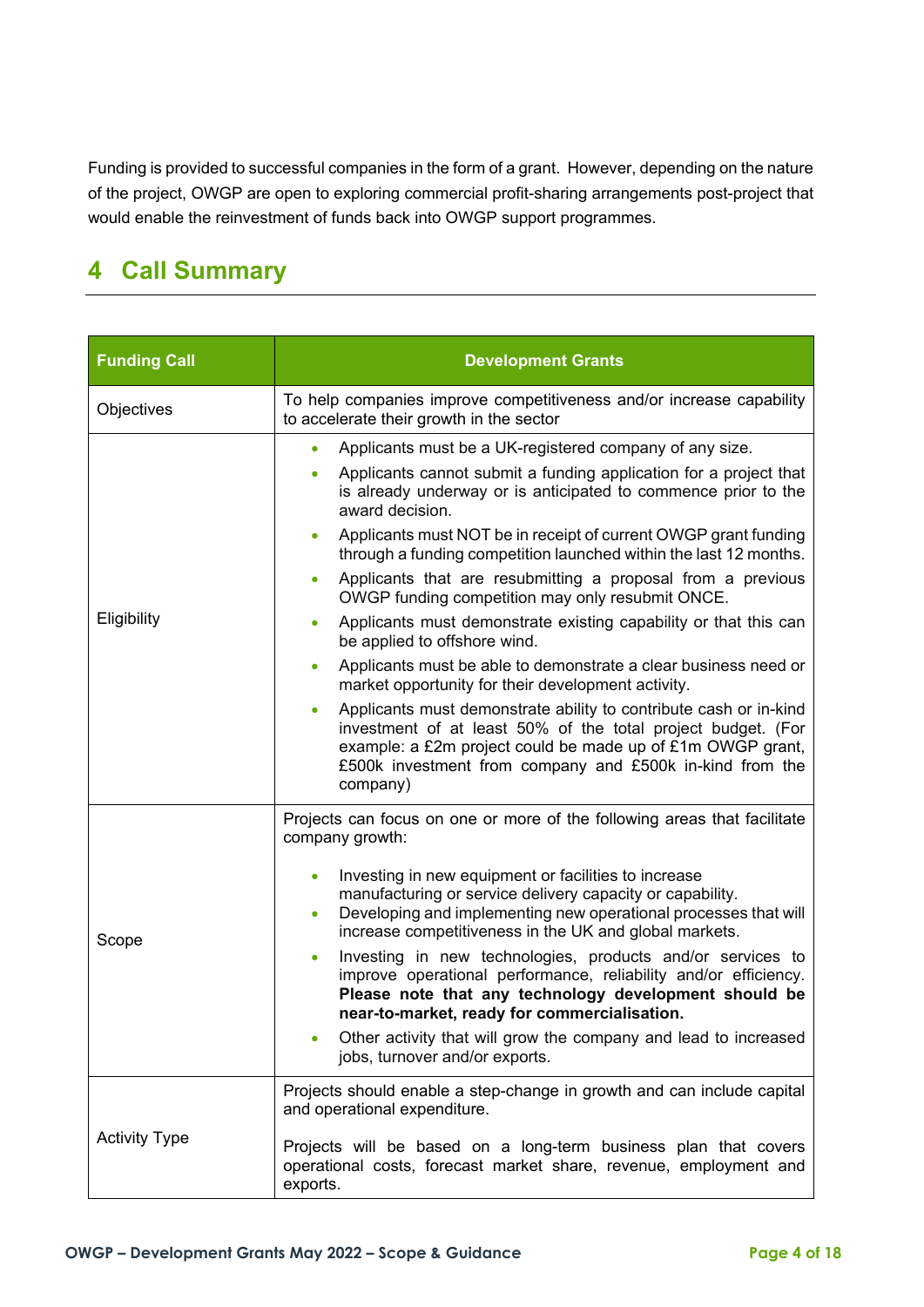Funding is provided to successful companies in the form of a grant. However, depending on the nature of the project, OWGP are open to exploring commercial profit-sharing arrangements post-project that would enable the reinvestment of funds back into OWGP support programmes.

# <span id="page-3-0"></span>**4 Call Summary**

| <b>Funding Call</b>  | <b>Development Grants</b>                                                                                                                                                                                                                                                            |  |  |  |
|----------------------|--------------------------------------------------------------------------------------------------------------------------------------------------------------------------------------------------------------------------------------------------------------------------------------|--|--|--|
| Objectives           | To help companies improve competitiveness and/or increase capability<br>to accelerate their growth in the sector                                                                                                                                                                     |  |  |  |
|                      | Applicants must be a UK-registered company of any size.<br>$\bullet$                                                                                                                                                                                                                 |  |  |  |
|                      | Applicants cannot submit a funding application for a project that<br>is already underway or is anticipated to commence prior to the<br>award decision.                                                                                                                               |  |  |  |
|                      | Applicants must NOT be in receipt of current OWGP grant funding<br>$\bullet$<br>through a funding competition launched within the last 12 months.                                                                                                                                    |  |  |  |
|                      | Applicants that are resubmitting a proposal from a previous<br>$\bullet$<br>OWGP funding competition may only resubmit ONCE.                                                                                                                                                         |  |  |  |
| Eligibility          | Applicants must demonstrate existing capability or that this can<br>$\bullet$<br>be applied to offshore wind.                                                                                                                                                                        |  |  |  |
|                      | Applicants must be able to demonstrate a clear business need or<br>$\bullet$<br>market opportunity for their development activity.                                                                                                                                                   |  |  |  |
|                      | Applicants must demonstrate ability to contribute cash or in-kind<br>$\bullet$<br>investment of at least 50% of the total project budget. (For<br>example: a £2m project could be made up of £1m OWGP grant,<br>£500k investment from company and £500k in-kind from the<br>company) |  |  |  |
|                      | Projects can focus on one or more of the following areas that facilitate<br>company growth:                                                                                                                                                                                          |  |  |  |
| Scope                | Investing in new equipment or facilities to increase<br>$\bullet$<br>manufacturing or service delivery capacity or capability.<br>Developing and implementing new operational processes that will<br>$\bullet$<br>increase competitiveness in the UK and global markets.             |  |  |  |
|                      | Investing in new technologies, products and/or services to<br>$\bullet$<br>improve operational performance, reliability and/or efficiency.<br>Please note that any technology development should be<br>near-to-market, ready for commercialisation.                                  |  |  |  |
|                      | Other activity that will grow the company and lead to increased<br>jobs, turnover and/or exports.                                                                                                                                                                                    |  |  |  |
|                      | Projects should enable a step-change in growth and can include capital<br>and operational expenditure.                                                                                                                                                                               |  |  |  |
| <b>Activity Type</b> | Projects will be based on a long-term business plan that covers<br>operational costs, forecast market share, revenue, employment and<br>exports.                                                                                                                                     |  |  |  |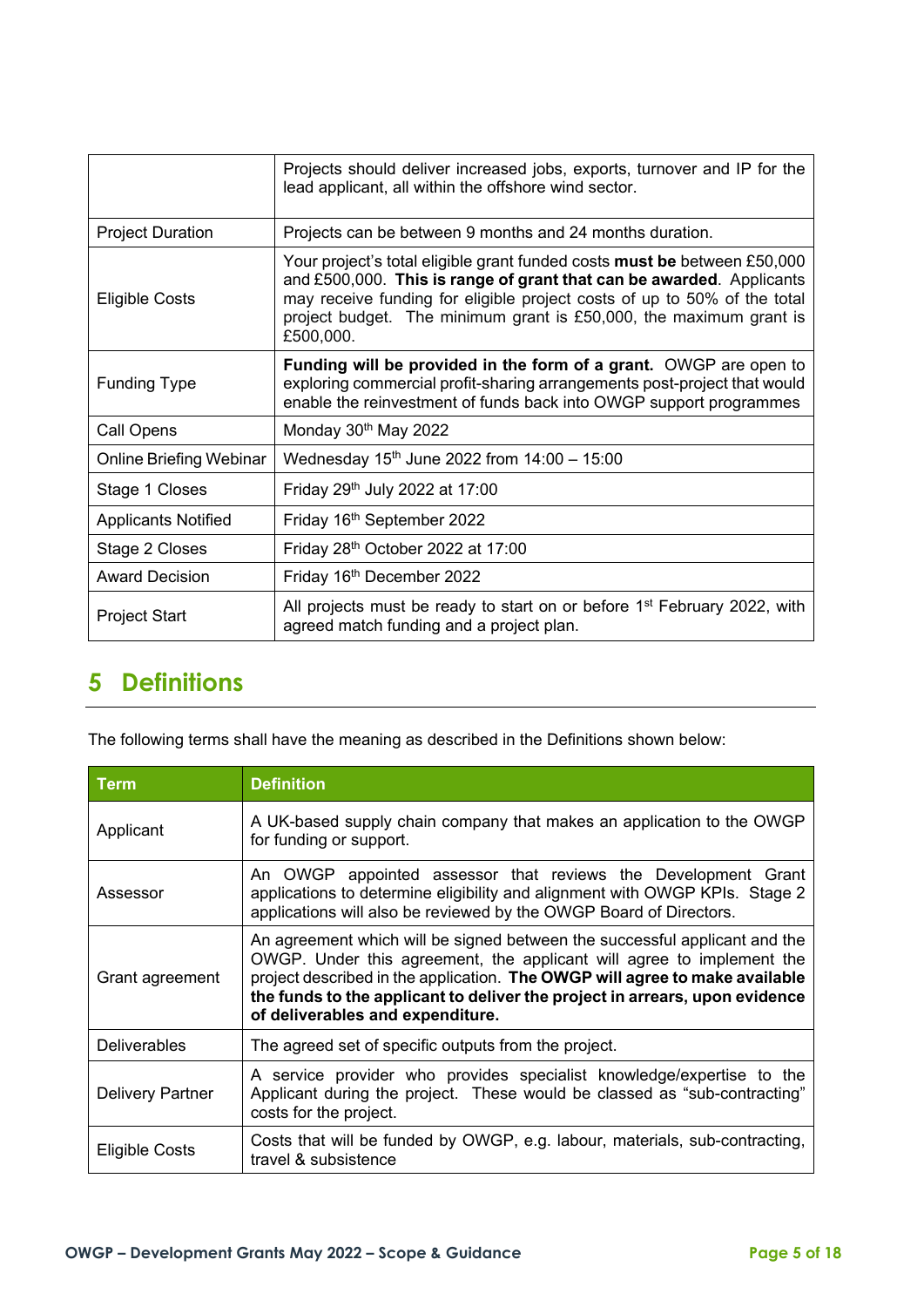|                            | Projects should deliver increased jobs, exports, turnover and IP for the<br>lead applicant, all within the offshore wind sector.                                                                                                                                                                                       |  |  |
|----------------------------|------------------------------------------------------------------------------------------------------------------------------------------------------------------------------------------------------------------------------------------------------------------------------------------------------------------------|--|--|
| <b>Project Duration</b>    | Projects can be between 9 months and 24 months duration.                                                                                                                                                                                                                                                               |  |  |
| <b>Eligible Costs</b>      | Your project's total eligible grant funded costs <b>must be</b> between £50,000<br>and £500,000. This is range of grant that can be awarded. Applicants<br>may receive funding for eligible project costs of up to 50% of the total<br>project budget. The minimum grant is £50,000, the maximum grant is<br>£500,000. |  |  |
| <b>Funding Type</b>        | Funding will be provided in the form of a grant. OWGP are open to<br>exploring commercial profit-sharing arrangements post-project that would<br>enable the reinvestment of funds back into OWGP support programmes                                                                                                    |  |  |
| Call Opens                 | Monday 30 <sup>th</sup> May 2022                                                                                                                                                                                                                                                                                       |  |  |
| Online Briefing Webinar    | Wednesday $15^{th}$ June 2022 from $14:00 - 15:00$                                                                                                                                                                                                                                                                     |  |  |
| Stage 1 Closes             | Friday 29 <sup>th</sup> July 2022 at 17:00                                                                                                                                                                                                                                                                             |  |  |
| <b>Applicants Notified</b> | Friday 16 <sup>th</sup> September 2022                                                                                                                                                                                                                                                                                 |  |  |
| Stage 2 Closes             | Friday 28 <sup>th</sup> October 2022 at 17:00                                                                                                                                                                                                                                                                          |  |  |
| <b>Award Decision</b>      | Friday 16 <sup>th</sup> December 2022                                                                                                                                                                                                                                                                                  |  |  |
| <b>Project Start</b>       | All projects must be ready to start on or before 1 <sup>st</sup> February 2022, with<br>agreed match funding and a project plan.                                                                                                                                                                                       |  |  |

# <span id="page-4-0"></span>**5 Definitions**

The following terms shall have the meaning as described in the Definitions shown below:

| Term                    | <b>Definition</b>                                                                                                                                                                                                                                                                                                                                     |  |
|-------------------------|-------------------------------------------------------------------------------------------------------------------------------------------------------------------------------------------------------------------------------------------------------------------------------------------------------------------------------------------------------|--|
| Applicant               | A UK-based supply chain company that makes an application to the OWGP<br>for funding or support.                                                                                                                                                                                                                                                      |  |
| Assessor                | An OWGP appointed assessor that reviews the Development Grant<br>applications to determine eligibility and alignment with OWGP KPIs. Stage 2<br>applications will also be reviewed by the OWGP Board of Directors.                                                                                                                                    |  |
| Grant agreement         | An agreement which will be signed between the successful applicant and the<br>OWGP. Under this agreement, the applicant will agree to implement the<br>project described in the application. The OWGP will agree to make available<br>the funds to the applicant to deliver the project in arrears, upon evidence<br>of deliverables and expenditure. |  |
| <b>Deliverables</b>     | The agreed set of specific outputs from the project.                                                                                                                                                                                                                                                                                                  |  |
| <b>Delivery Partner</b> | A service provider who provides specialist knowledge/expertise to the<br>Applicant during the project. These would be classed as "sub-contracting"<br>costs for the project.                                                                                                                                                                          |  |
| <b>Eligible Costs</b>   | Costs that will be funded by OWGP, e.g. labour, materials, sub-contracting,<br>travel & subsistence                                                                                                                                                                                                                                                   |  |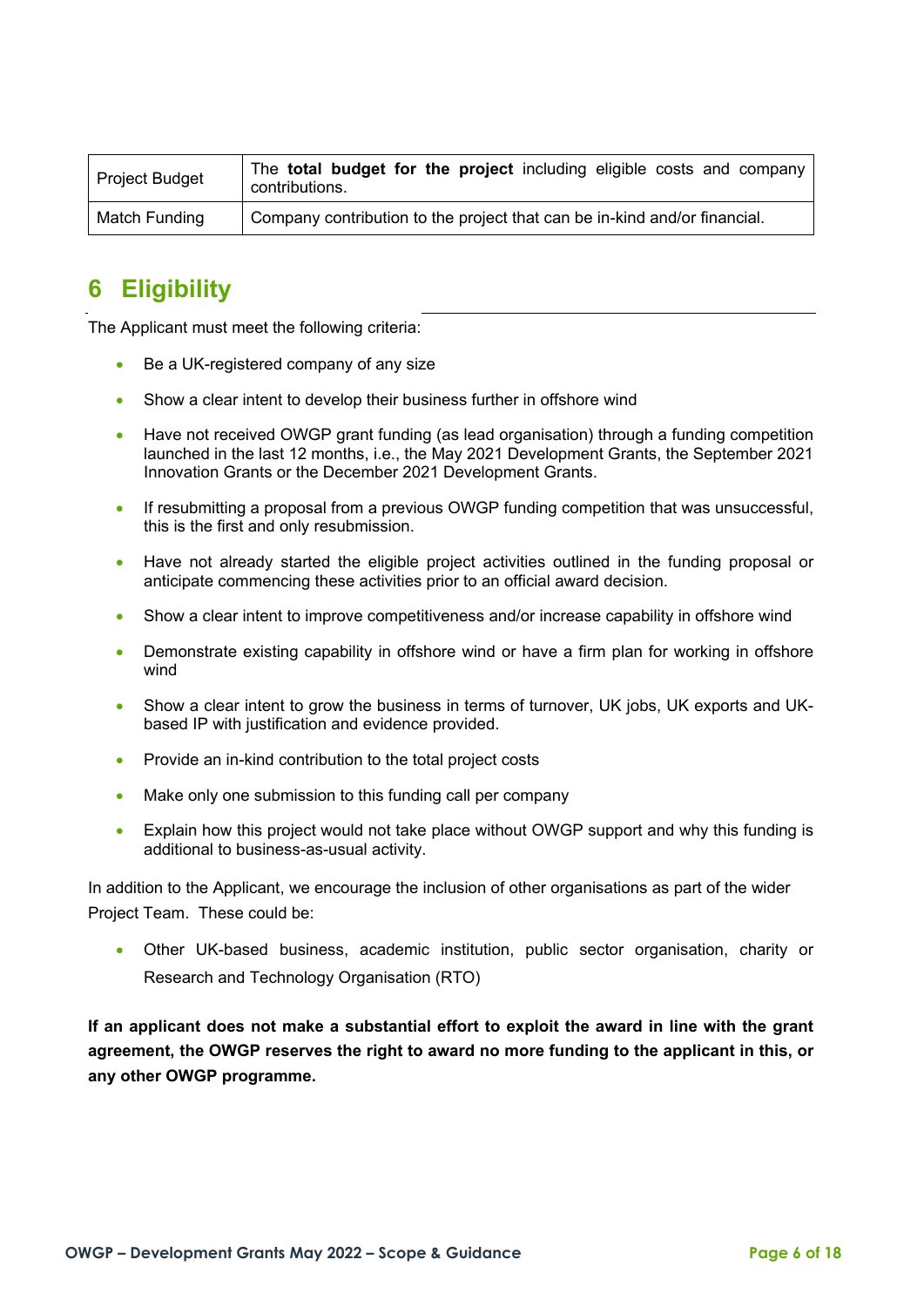| <b>Project Budget</b> | The <b>total budget for the project</b> including eligible costs and company<br>contributions. |
|-----------------------|------------------------------------------------------------------------------------------------|
| Match Funding         | Company contribution to the project that can be in-kind and/or financial.                      |

## <span id="page-5-0"></span>**6 Eligibility**

The Applicant must meet the following criteria:

- Be a UK-registered company of any size
- Show a clear intent to develop their business further in offshore wind
- Have not received OWGP grant funding (as lead organisation) through a funding competition launched in the last 12 months, i.e., the May 2021 Development Grants, the September 2021 Innovation Grants or the December 2021 Development Grants.
- If resubmitting a proposal from a previous OWGP funding competition that was unsuccessful, this is the first and only resubmission.
- Have not already started the eligible project activities outlined in the funding proposal or anticipate commencing these activities prior to an official award decision.
- Show a clear intent to improve competitiveness and/or increase capability in offshore wind
- Demonstrate existing capability in offshore wind or have a firm plan for working in offshore wind
- Show a clear intent to grow the business in terms of turnover, UK jobs, UK exports and UKbased IP with justification and evidence provided.
- Provide an in-kind contribution to the total project costs
- Make only one submission to this funding call per company
- Explain how this project would not take place without OWGP support and why this funding is additional to business-as-usual activity.

In addition to the Applicant, we encourage the inclusion of other organisations as part of the wider Project Team. These could be:

• Other UK-based business, academic institution, public sector organisation, charity or Research and Technology Organisation (RTO)

**If an applicant does not make a substantial effort to exploit the award in line with the grant agreement, the OWGP reserves the right to award no more funding to the applicant in this, or any other OWGP programme.**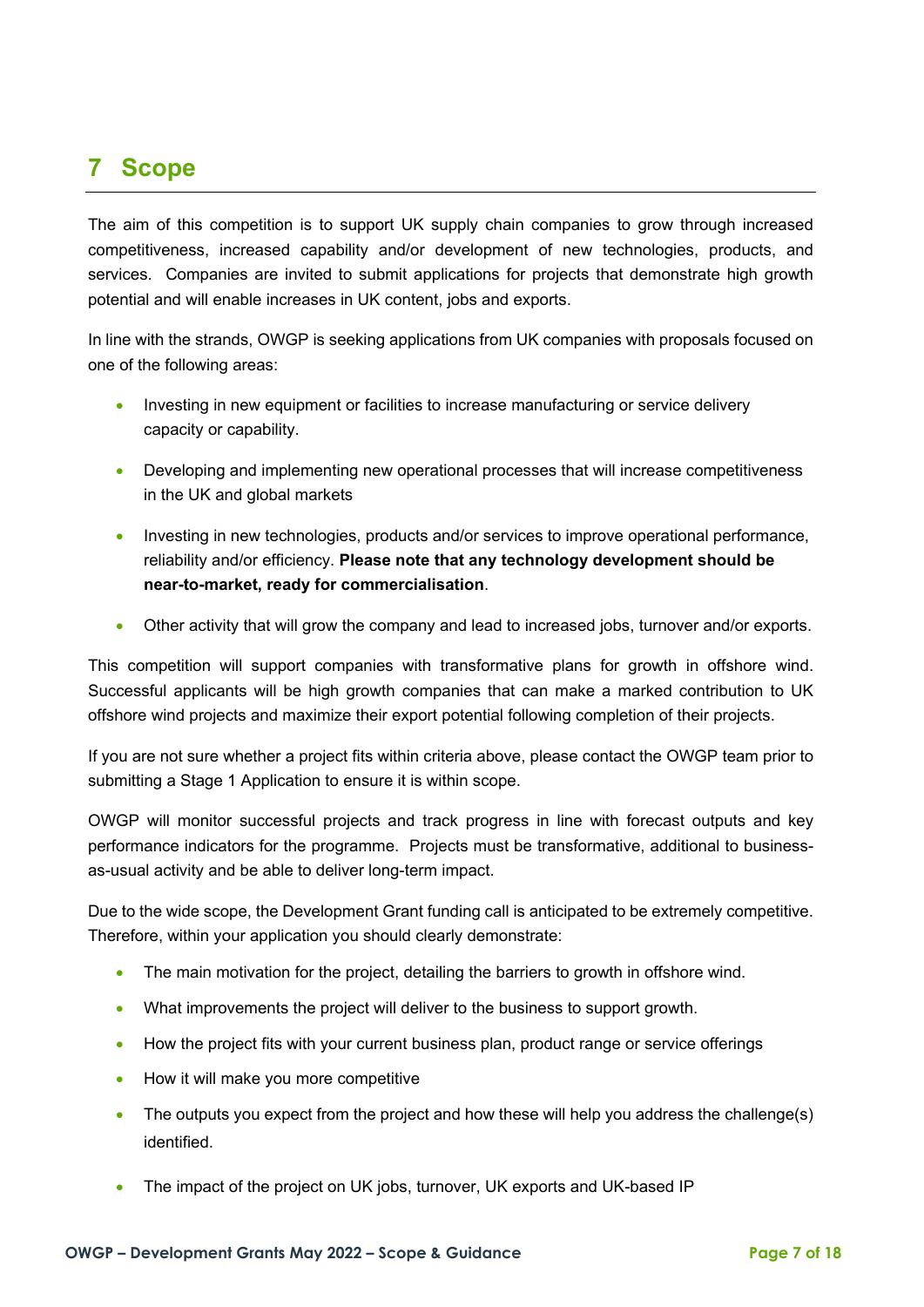# <span id="page-6-0"></span>**7 Scope**

The aim of this competition is to support UK supply chain companies to grow through increased competitiveness, increased capability and/or development of new technologies, products, and services. Companies are invited to submit applications for projects that demonstrate high growth potential and will enable increases in UK content, jobs and exports.

In line with the strands, OWGP is seeking applications from UK companies with proposals focused on one of the following areas:

- Investing in new equipment or facilities to increase manufacturing or service delivery capacity or capability.
- Developing and implementing new operational processes that will increase competitiveness in the UK and global markets
- Investing in new technologies, products and/or services to improve operational performance, reliability and/or efficiency. **Please note that any technology development should be near-to-market, ready for commercialisation**.
- Other activity that will grow the company and lead to increased jobs, turnover and/or exports.

This competition will support companies with transformative plans for growth in offshore wind. Successful applicants will be high growth companies that can make a marked contribution to UK offshore wind projects and maximize their export potential following completion of their projects.

If you are not sure whether a project fits within criteria above, please contact the OWGP team prior to submitting a Stage 1 Application to ensure it is within scope.

OWGP will monitor successful projects and track progress in line with forecast outputs and key performance indicators for the programme. Projects must be transformative, additional to businessas-usual activity and be able to deliver long-term impact.

Due to the wide scope, the Development Grant funding call is anticipated to be extremely competitive. Therefore, within your application you should clearly demonstrate:

- The main motivation for the project, detailing the barriers to growth in offshore wind.
- What improvements the project will deliver to the business to support growth.
- How the project fits with your current business plan, product range or service offerings
- How it will make you more competitive
- The outputs you expect from the project and how these will help you address the challenge(s) identified.
- The impact of the project on UK jobs, turnover, UK exports and UK-based IP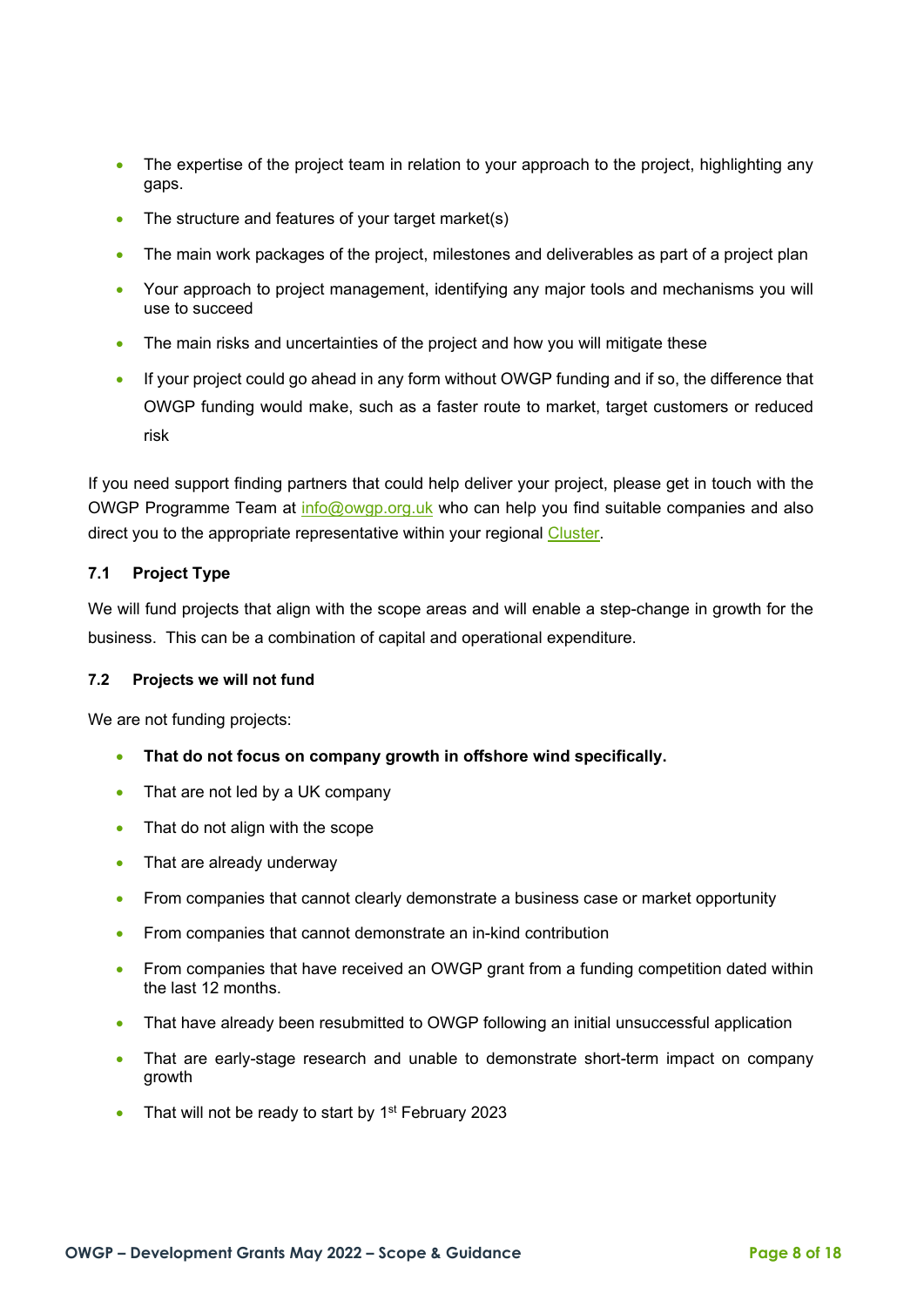- The expertise of the project team in relation to your approach to the project, highlighting any gaps.
- The structure and features of your target market(s)
- The main work packages of the project, milestones and deliverables as part of a project plan
- Your approach to project management, identifying any major tools and mechanisms you will use to succeed
- The main risks and uncertainties of the project and how you will mitigate these
- If your project could go ahead in any form without OWGP funding and if so, the difference that OWGP funding would make, such as a faster route to market, target customers or reduced risk

If you need support finding partners that could help deliver your project, please get in touch with the OWGP Programme Team at [info@owgp.org.uk](mailto:info@owgp.org.uk) who can help you find suitable companies and also direct you to the appropriate representative within your regional [Cluster.](https://owgp.org.uk/clusters/)

#### **7.1 Project Type**

We will fund projects that align with the scope areas and will enable a step-change in growth for the business. This can be a combination of capital and operational expenditure.

#### **7.2 Projects we will not fund**

We are not funding projects:

- **That do not focus on company growth in offshore wind specifically.**
- That are not led by a UK company
- That do not align with the scope
- That are already underway
- From companies that cannot clearly demonstrate a business case or market opportunity
- From companies that cannot demonstrate an in-kind contribution
- From companies that have received an OWGP grant from a funding competition dated within the last 12 months.
- That have already been resubmitted to OWGP following an initial unsuccessful application
- That are early-stage research and unable to demonstrate short-term impact on company growth
- That will not be ready to start by 1<sup>st</sup> February 2023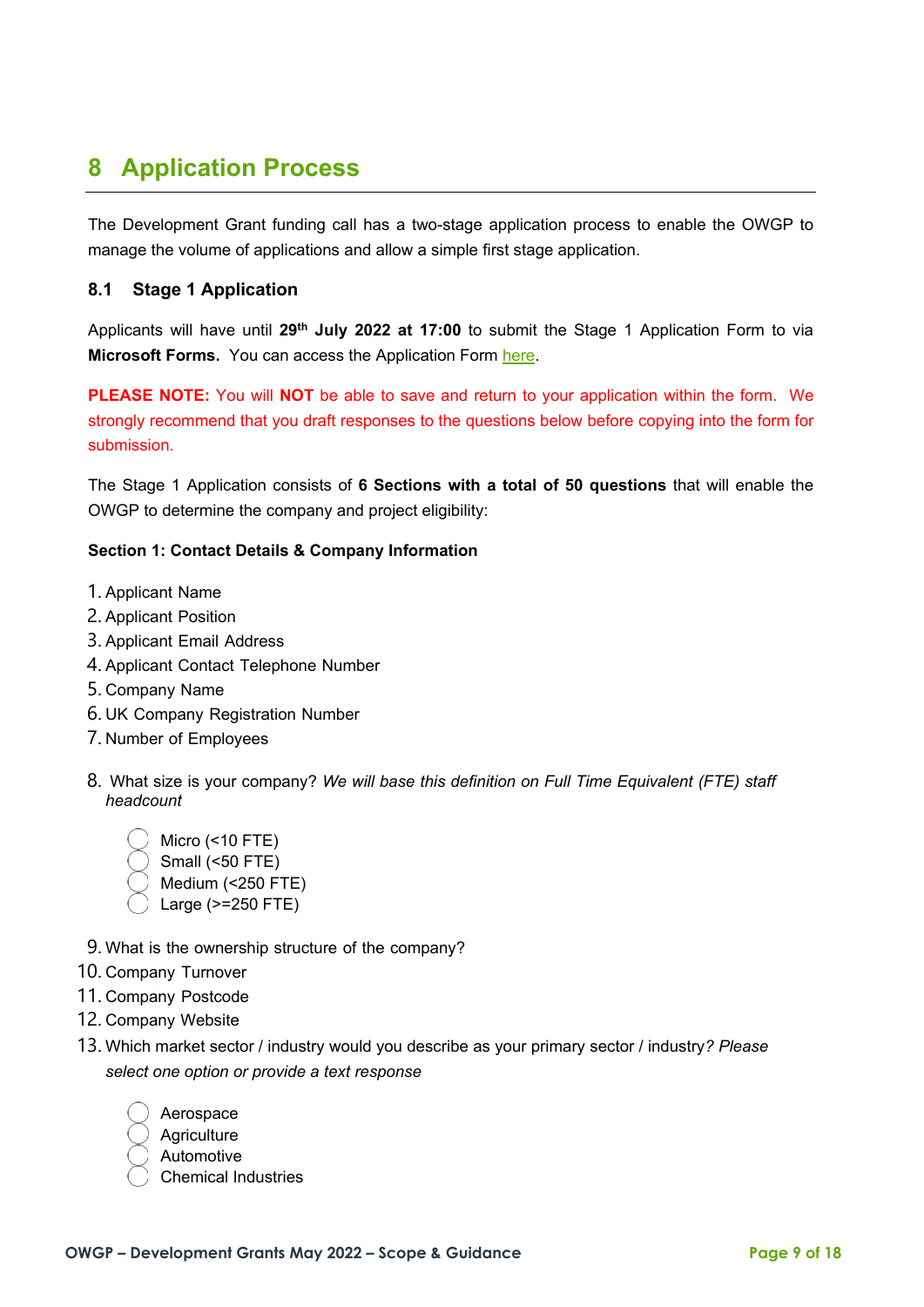# <span id="page-8-0"></span>**8 Application Process**

The Development Grant funding call has a two-stage application process to enable the OWGP to manage the volume of applications and allow a simple first stage application.

## **8.1 Stage 1 Application**

Applicants will have until **29th July 2022 at 17:00** to submit the Stage 1 Application Form to via **Microsoft Forms.** You can access the Application Form [here.](https://forms.office.com/Pages/ResponsePage.aspx?id=R4KE2RusbUeKLnx2ESlngypgVCwluFdKvPBiWRyQkXlUN0ZTMEc1VU4xOTVGVFZISkg1WTYzTzJSVy4u)

**PLEASE NOTE:** You will **NOT** be able to save and return to your application within the form. We strongly recommend that you draft responses to the questions below before copying into the form for submission.

The Stage 1 Application consists of **6 Sections with a total of 50 questions** that will enable the OWGP to determine the company and project eligibility:

#### **Section 1: Contact Details & Company Information**

- 1. Applicant Name
- 2. Applicant Position
- 3. Applicant Email Address
- 4. Applicant Contact Telephone Number
- 5. Company Name
- 6. UK Company Registration Number
- 7. Number of Employees
- 8. What size is your company? *We will base this definition on Full Time Equivalent (FTE) staff headcount*
	- Micro (<10 FTE) Small (<50 FTE) Medium (<250 FTE) Large (>=250 FTE)
- 9. What is the ownership structure of the company?
- 10. Company Turnover
- 11. Company Postcode
- 12. Company Website
- 13. Which market sector / industry would you describe as your primary sector / industry*? Please select one option or provide a text response*

| Aerospace   |
|-------------|
| Agriculture |
| Automotive  |

Chemical Industries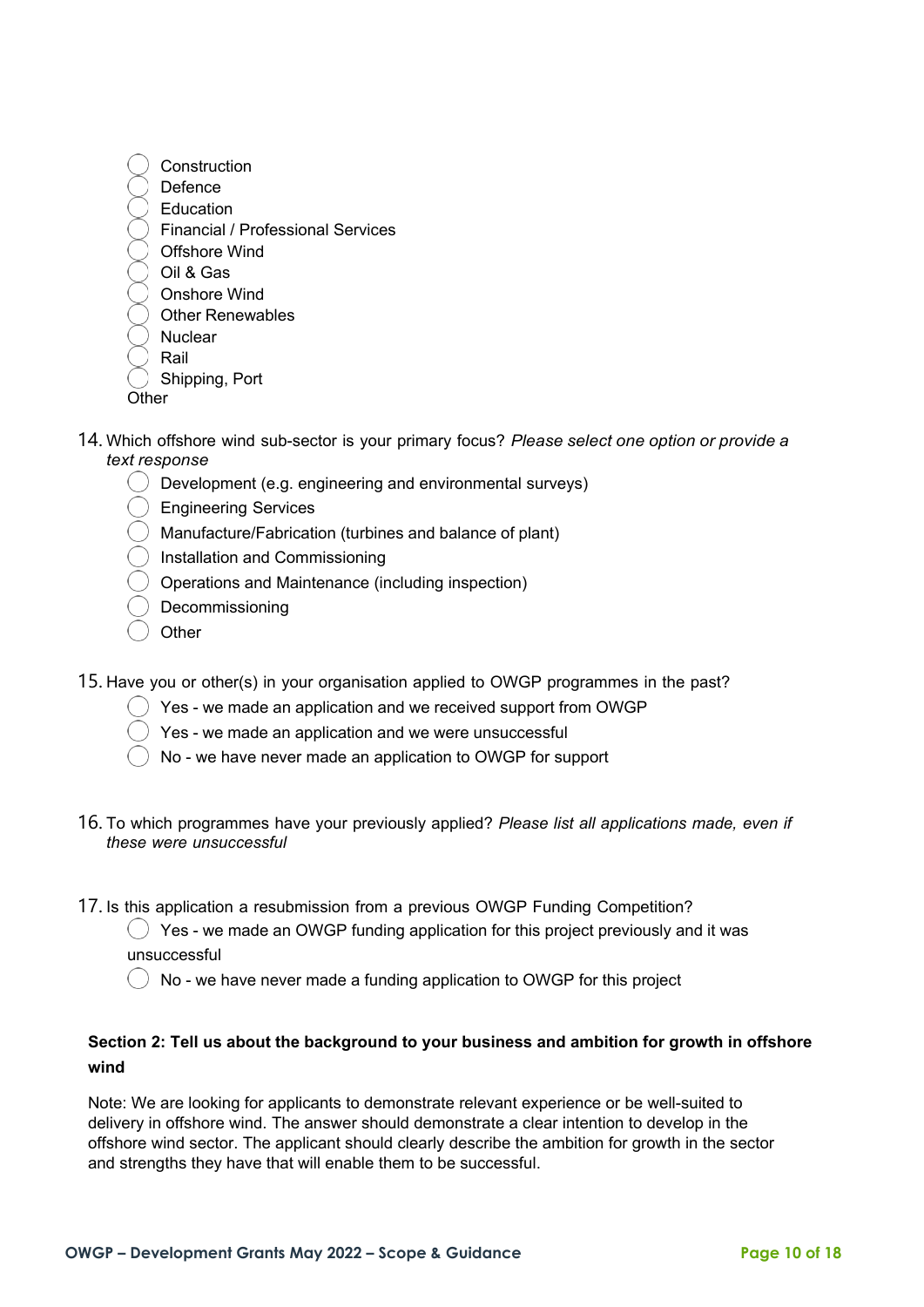

- **Other**
- 14. Which offshore wind sub-sector is your primary focus? *Please select one option or provide a text response*
	- Development (e.g. engineering and environmental surveys)
	- Engineering Services
	- Manufacture/Fabrication (turbines and balance of plant)
	- Installation and Commissioning
	- Operations and Maintenance (including inspection)
	- Decommissioning
	- **Other**
- 15. Have you or other(s) in your organisation applied to OWGP programmes in the past?
	- ) Yes we made an application and we received support from OWGP
	- Yes we made an application and we were unsuccessful
	- No we have never made an application to OWGP for support
- 16. To which programmes have your previously applied? *Please list all applications made, even if these were unsuccessful*
- 17. Is this application a resubmission from a previous OWGP Funding Competition?
	- $\binom{1}{2}$  Yes we made an OWGP funding application for this project previously and it was unsuccessful
	- $\binom{1}{2}$  No we have never made a funding application to OWGP for this project

## **Section 2: Tell us about the background to your business and ambition for growth in offshore wind**

Note: We are looking for applicants to demonstrate relevant experience or be well-suited to delivery in offshore wind. The answer should demonstrate a clear intention to develop in the offshore wind sector. The applicant should clearly describe the ambition for growth in the sector and strengths they have that will enable them to be successful.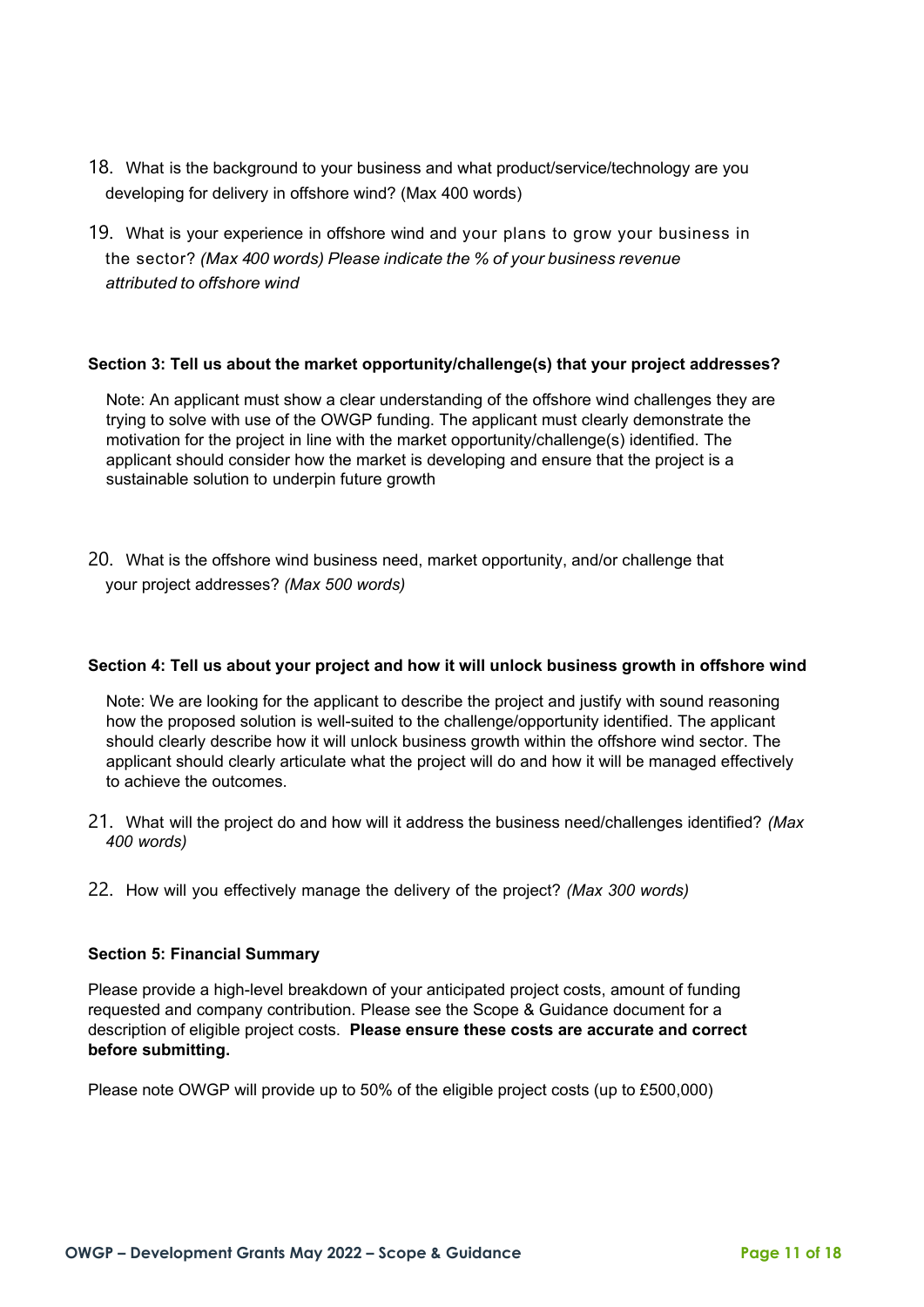- 18. What is the background to your business and what product/service/technology are you developing for delivery in offshore wind? (Max 400 words)
- 19. What is your experience in offshore wind and your plans to grow your business in the sector? *(Max 400 words) Please indicate the % of your business revenue attributed to offshore wind*

#### **Section 3: Tell us about the market opportunity/challenge(s) that your project addresses?**

Note: An applicant must show a clear understanding of the offshore wind challenges they are trying to solve with use of the OWGP funding. The applicant must clearly demonstrate the motivation for the project in line with the market opportunity/challenge(s) identified. The applicant should consider how the market is developing and ensure that the project is a sustainable solution to underpin future growth

20. What is the offshore wind business need, market opportunity, and/or challenge that your project addresses? *(Max 500 words)*

#### **Section 4: Tell us about your project and how it will unlock business growth in offshore wind**

Note: We are looking for the applicant to describe the project and justify with sound reasoning how the proposed solution is well-suited to the challenge/opportunity identified. The applicant should clearly describe how it will unlock business growth within the offshore wind sector. The applicant should clearly articulate what the project will do and how it will be managed effectively to achieve the outcomes.

- 21. What will the project do and how will it address the business need/challenges identified? *(Max 400 words)*
- 22. How will you effectively manage the delivery of the project? *(Max 300 words)*

#### **Section 5: Financial Summary**

Please provide a high-level breakdown of your anticipated project costs, amount of funding requested and company contribution. Please see the Scope & Guidance document for a description of eligible project costs. **Please ensure these costs are accurate and correct before submitting.**

Please note OWGP will provide up to 50% of the eligible project costs (up to £500,000)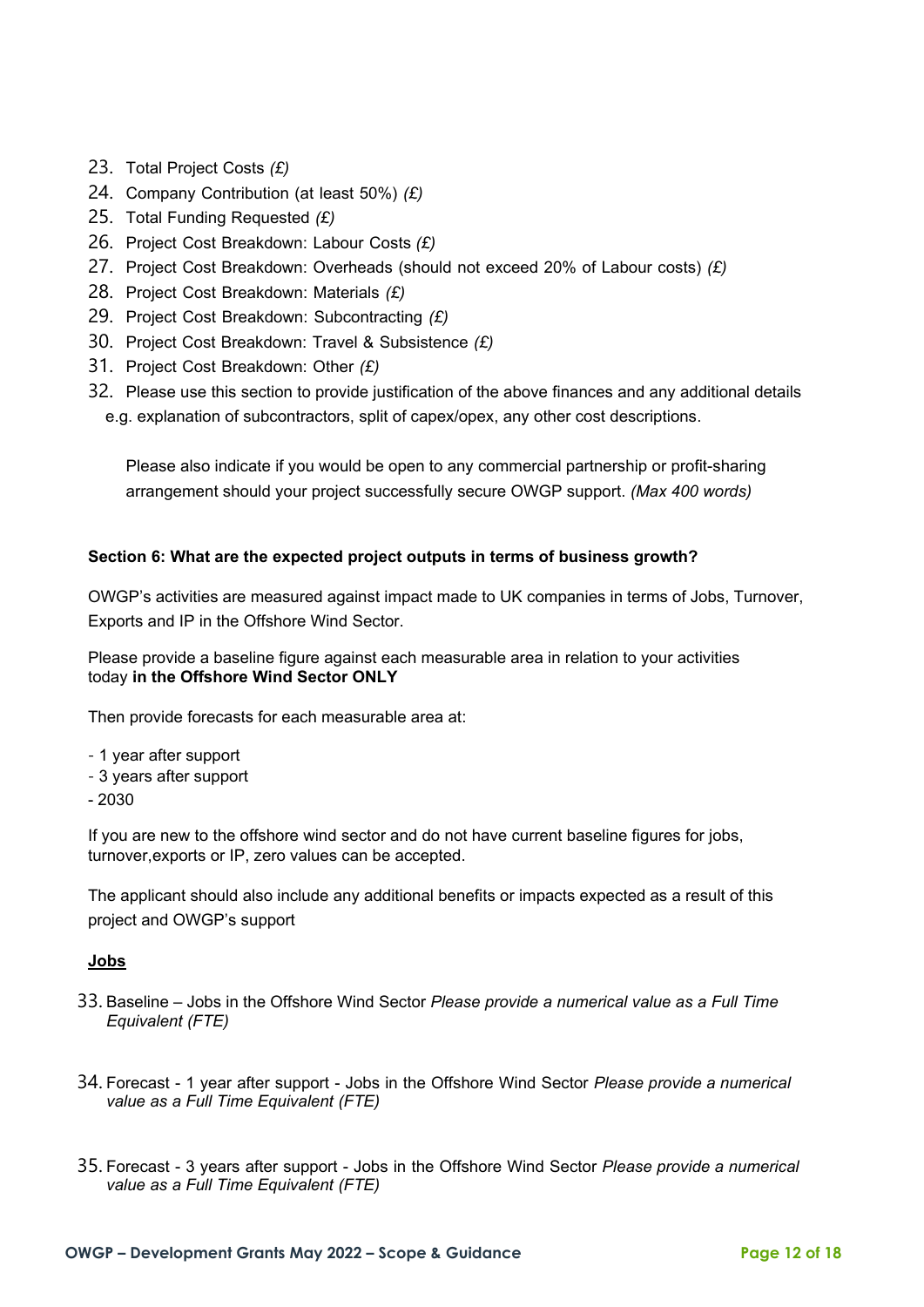- 23. Total Project Costs *(£)*
- 24. Company Contribution (at least 50%) *(£)*
- 25. Total Funding Requested *(£)*
- 26. Project Cost Breakdown: Labour Costs *(£)*
- 27. Project Cost Breakdown: Overheads (should not exceed 20% of Labour costs) *(£)*
- 28. Project Cost Breakdown: Materials *(£)*
- 29. Project Cost Breakdown: Subcontracting *(£)*
- 30. Project Cost Breakdown: Travel & Subsistence *(£)*
- 31. Project Cost Breakdown: Other *(£)*
- 32. Please use this section to provide justification of the above finances and any additional details e.g. explanation of subcontractors, split of capex/opex, any other cost descriptions.

Please also indicate if you would be open to any commercial partnership or profit-sharing arrangement should your project successfully secure OWGP support. *(Max 400 words)*

## **Section 6: What are the expected project outputs in terms of business growth?**

OWGP's activities are measured against impact made to UK companies in terms of Jobs, Turnover, Exports and IP in the Offshore Wind Sector.

Please provide a baseline figure against each measurable area in relation to your activities today **in the Offshore Wind Sector ONLY**

Then provide forecasts for each measurable area at:

- 1 year after support
- 3 years after support
- 2030

If you are new to the offshore wind sector and do not have current baseline figures for jobs, turnover,exports or IP, zero values can be accepted.

The applicant should also include any additional benefits or impacts expected as a result of this project and OWGP's support

#### **Jobs**

- 33. Baseline Jobs in the Offshore Wind Sector *Please provide a numerical value as a Full Time Equivalent (FTE)*
- 34. Forecast 1 year after support Jobs in the Offshore Wind Sector *Please provide a numerical value as a Full Time Equivalent (FTE)*
- 35. Forecast 3 years after support Jobs in the Offshore Wind Sector *Please provide a numerical value as a Full Time Equivalent (FTE)*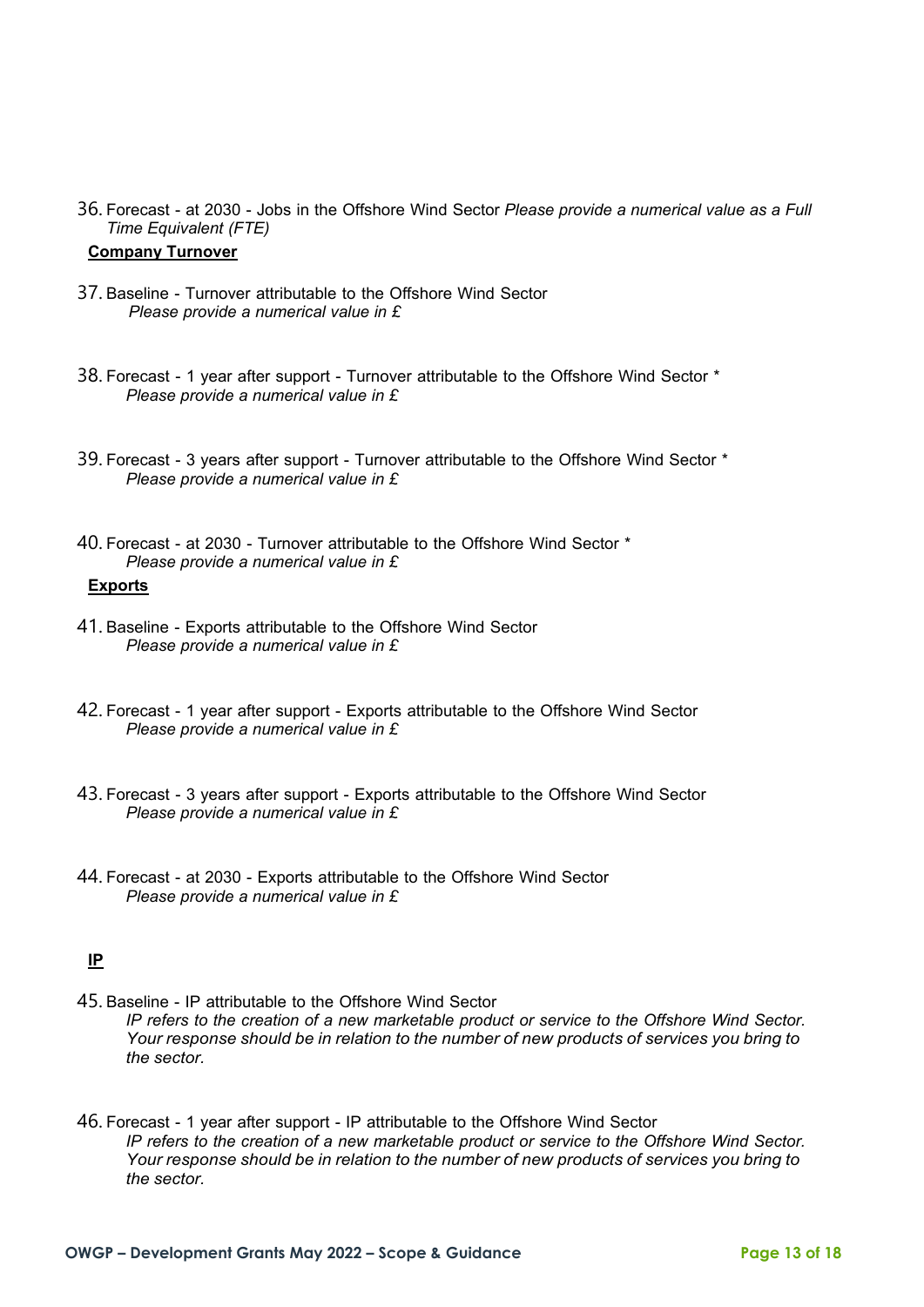36. Forecast - at 2030 - Jobs in the Offshore Wind Sector *Please provide a numerical value as a Full Time Equivalent (FTE)*

#### **Company Turnover**

- 37. Baseline Turnover attributable to the Offshore Wind Sector *Please provide a numerical value in £*
- 38. Forecast 1 year after support Turnover attributable to the Offshore Wind Sector \* *Please provide a numerical value in £*
- 39. Forecast 3 years after support Turnover attributable to the Offshore Wind Sector \* *Please provide a numerical value in £*
- 40. Forecast at 2030 Turnover attributable to the Offshore Wind Sector \* *Please provide a numerical value in £* **Exports**
- 41. Baseline Exports attributable to the Offshore Wind Sector *Please provide a numerical value in £*
- 42. Forecast 1 year after support Exports attributable to the Offshore Wind Sector *Please provide a numerical value in £*
- 43. Forecast 3 years after support Exports attributable to the Offshore Wind Sector *Please provide a numerical value in £*
- 44. Forecast at 2030 Exports attributable to the Offshore Wind Sector *Please provide a numerical value in £*

## **IP**

- 45. Baseline IP attributable to the Offshore Wind Sector *IP refers to the creation of a new marketable product or service to the Offshore Wind Sector. Your response should be in relation to the number of new products of services you bring to the sector.*
- 46. Forecast 1 year after support IP attributable to the Offshore Wind Sector *IP refers to the creation of a new marketable product or service to the Offshore Wind Sector. Your response should be in relation to the number of new products of services you bring to the sector.*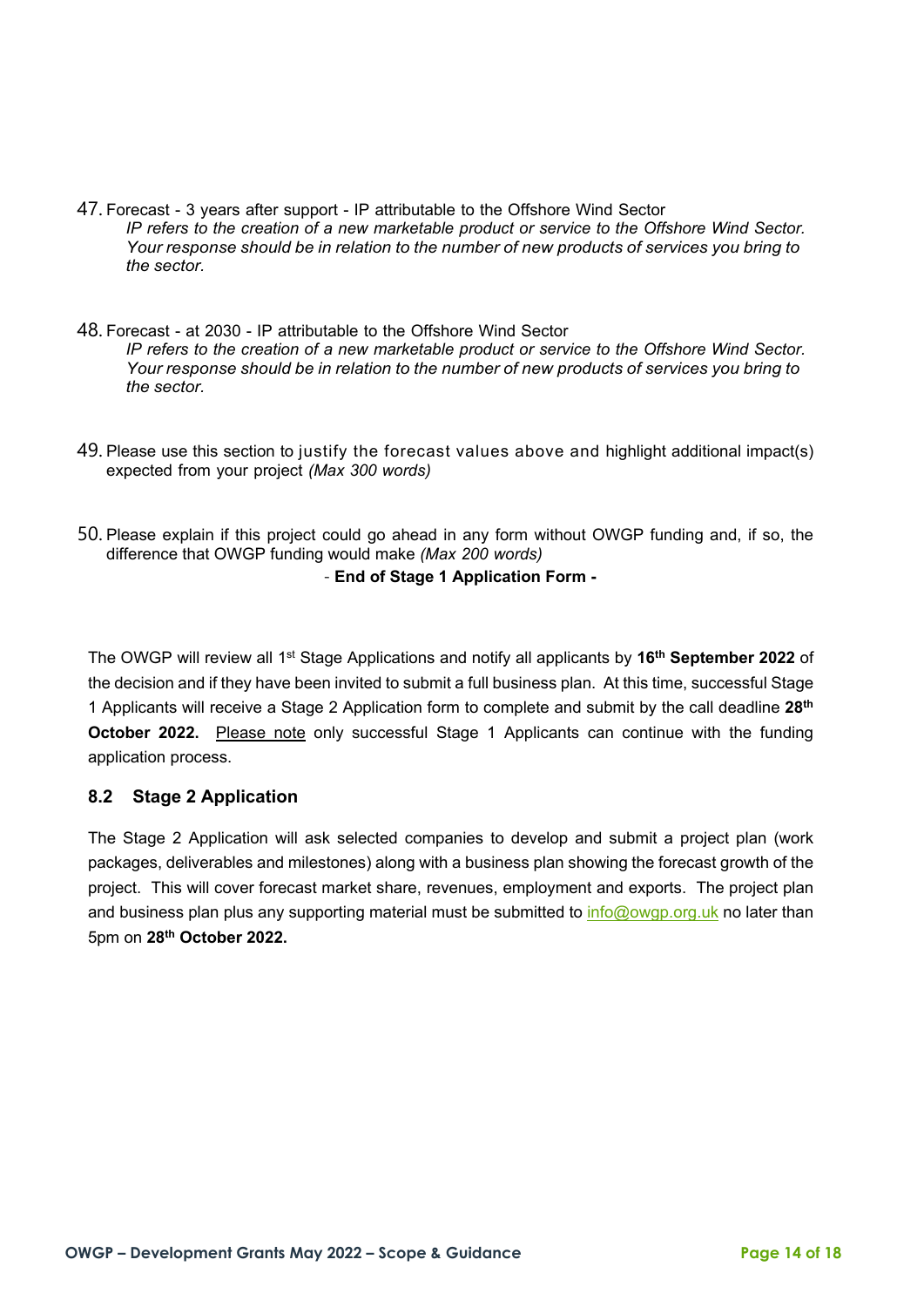- 47. Forecast 3 years after support IP attributable to the Offshore Wind Sector *IP refers to the creation of a new marketable product or service to the Offshore Wind Sector. Your response should be in relation to the number of new products of services you bring to the sector.*
- 48. Forecast at 2030 IP attributable to the Offshore Wind Sector *IP refers to the creation of a new marketable product or service to the Offshore Wind Sector. Your response should be in relation to the number of new products of services you bring to the sector.*
- 49. Please use this section to justify the forecast values above and highlight additional impact(s) expected from your project *(Max 300 words)*
- 50. Please explain if this project could go ahead in any form without OWGP funding and, if so, the difference that OWGP funding would make *(Max 200 words)*

#### - **End of Stage 1 Application Form -**

The OWGP will review all 1st Stage Applications and notify all applicants by **16th September 2022** of the decision and if they have been invited to submit a full business plan. At this time, successful Stage 1 Applicants will receive a Stage 2 Application form to complete and submit by the call deadline **28th October 2022.** Please note only successful Stage 1 Applicants can continue with the funding application process.

## **8.2 Stage 2 Application**

The Stage 2 Application will ask selected companies to develop and submit a project plan (work packages, deliverables and milestones) along with a business plan showing the forecast growth of the project. This will cover forecast market share, revenues, employment and exports. The project plan and business plan plus any supporting material must be submitted to [info@owgp.org.uk](mailto:info@owgp.org.uk) no later than 5pm on **28th October 2022.**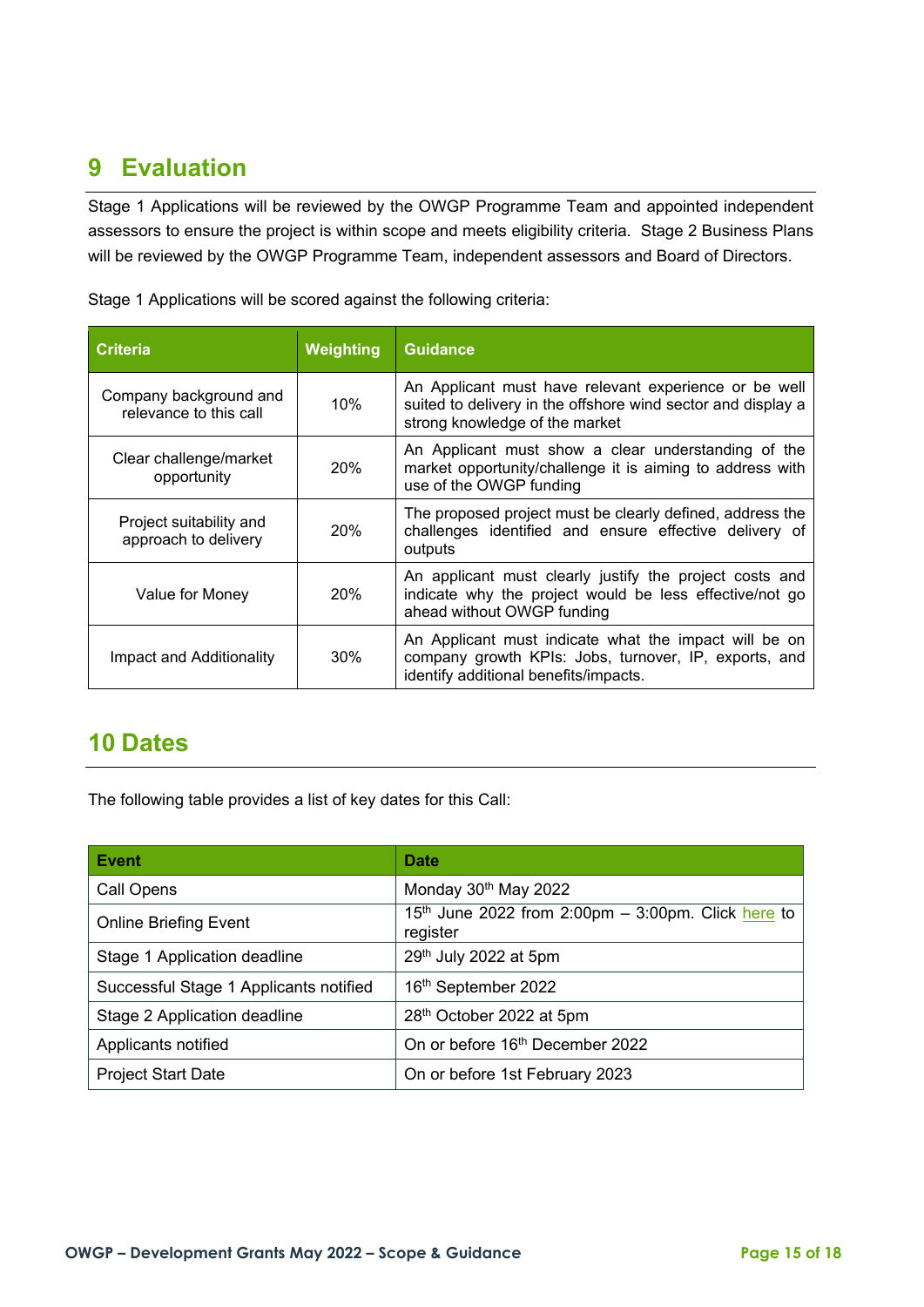# <span id="page-14-0"></span>**9 Evaluation**

Stage 1 Applications will be reviewed by the OWGP Programme Team and appointed independent assessors to ensure the project is within scope and meets eligibility criteria. Stage 2 Business Plans will be reviewed by the OWGP Programme Team, independent assessors and Board of Directors.

| <b>Criteria</b>                                  | Weighting | <b>Guidance</b>                                                                                                                                         |
|--------------------------------------------------|-----------|---------------------------------------------------------------------------------------------------------------------------------------------------------|
| Company background and<br>relevance to this call | 10%       | An Applicant must have relevant experience or be well<br>suited to delivery in the offshore wind sector and display a<br>strong knowledge of the market |
| Clear challenge/market<br>opportunity            | 20%       | An Applicant must show a clear understanding of the<br>market opportunity/challenge it is aiming to address with<br>use of the OWGP funding             |
| Project suitability and<br>approach to delivery  | 20%       | The proposed project must be clearly defined, address the<br>challenges identified and ensure effective delivery of<br>outputs                          |
| Value for Money                                  | 20%       | An applicant must clearly justify the project costs and<br>indicate why the project would be less effective/not go<br>ahead without OWGP funding        |
| Impact and Additionality                         | 30%       | An Applicant must indicate what the impact will be on<br>company growth KPIs: Jobs, turnover, IP, exports, and<br>identify additional benefits/impacts. |

Stage 1 Applications will be scored against the following criteria:

## <span id="page-14-1"></span>**10 Dates**

The following table provides a list of key dates for this Call:

| <b>Event</b>                           | <b>Date</b>                                                                |
|----------------------------------------|----------------------------------------------------------------------------|
| Call Opens                             | Monday 30 <sup>th</sup> May 2022                                           |
| <b>Online Briefing Event</b>           | 15 <sup>th</sup> June 2022 from 2:00pm – 3:00pm. Click here to<br>register |
| Stage 1 Application deadline           | 29th July 2022 at 5pm                                                      |
| Successful Stage 1 Applicants notified | 16th September 2022                                                        |
| Stage 2 Application deadline           | 28th October 2022 at 5pm                                                   |
| Applicants notified                    | On or before 16 <sup>th</sup> December 2022                                |
| <b>Project Start Date</b>              | On or before 1st February 2023                                             |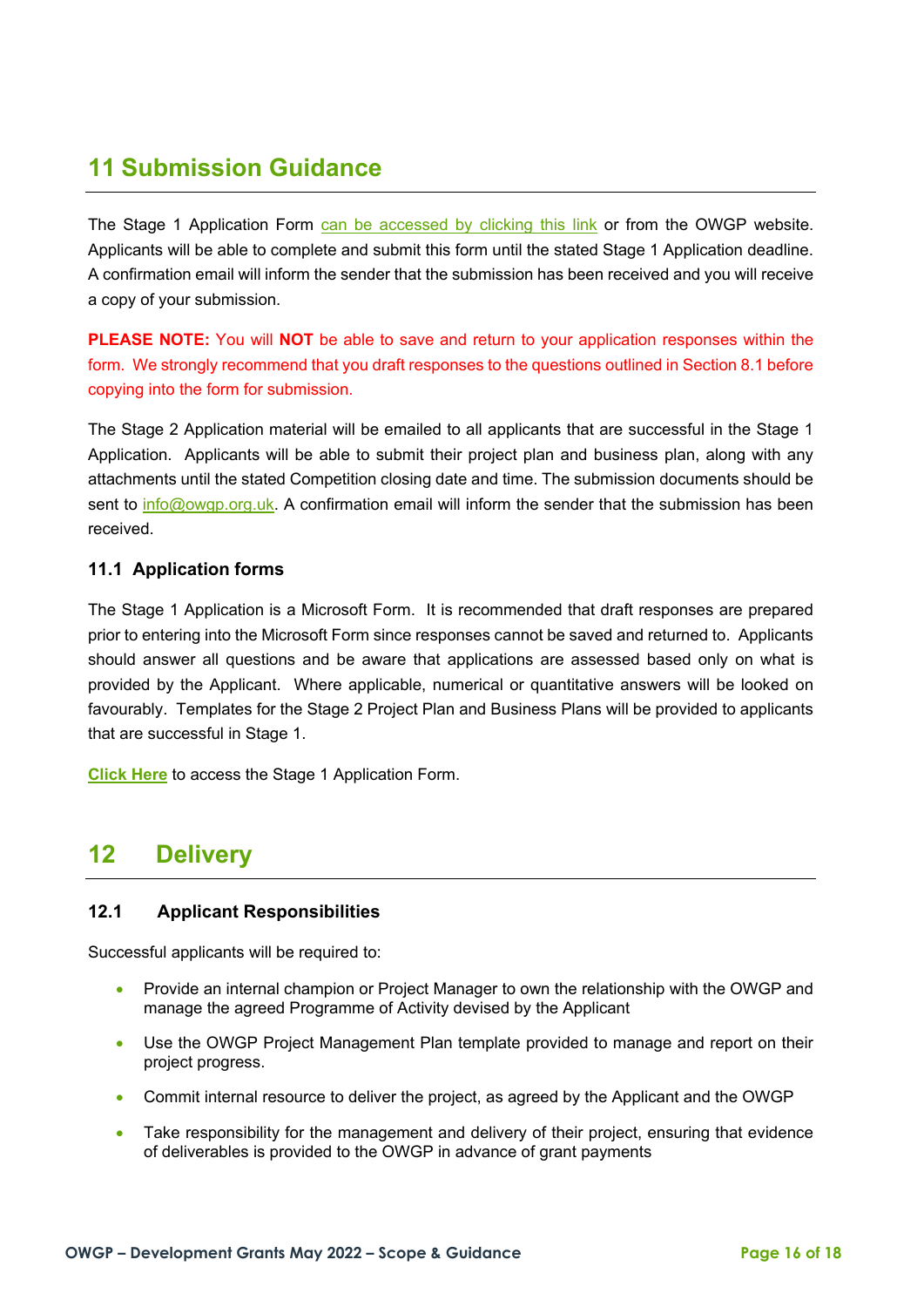# <span id="page-15-0"></span>**11 Submission Guidance**

The Stage 1 Application Form [can be accessed by clicking this link](https://forms.office.com/Pages/ResponsePage.aspx?id=R4KE2RusbUeKLnx2ESlngypgVCwluFdKvPBiWRyQkXlUN0ZTMEc1VU4xOTVGVFZISkg1WTYzTzJSVy4u) or from the OWGP website. Applicants will be able to complete and submit this form until the stated Stage 1 Application deadline. A confirmation email will inform the sender that the submission has been received and you will receive a copy of your submission.

**PLEASE NOTE:** You will **NOT** be able to save and return to your application responses within the form. We strongly recommend that you draft responses to the questions outlined in Section 8.1 before copying into the form for submission.

The Stage 2 Application material will be emailed to all applicants that are successful in the Stage 1 Application. Applicants will be able to submit their project plan and business plan, along with any attachments until the stated Competition closing date and time. The submission documents should be sent to [info@owgp.org.uk.](mailto:info@owgp.org.uk) A confirmation email will inform the sender that the submission has been received.

## **11.1 Application forms**

The Stage 1 Application is a Microsoft Form. It is recommended that draft responses are prepared prior to entering into the Microsoft Form since responses cannot be saved and returned to. Applicants should answer all questions and be aware that applications are assessed based only on what is provided by the Applicant. Where applicable, numerical or quantitative answers will be looked on favourably. Templates for the Stage 2 Project Plan and Business Plans will be provided to applicants that are successful in Stage 1.

**[Click Here](https://forms.office.com/Pages/ResponsePage.aspx?id=R4KE2RusbUeKLnx2ESlngypgVCwluFdKvPBiWRyQkXlUN0ZTMEc1VU4xOTVGVFZISkg1WTYzTzJSVy4u)** to access the Stage 1 Application Form.

## <span id="page-15-1"></span>**12 Delivery**

## **12.1 Applicant Responsibilities**

Successful applicants will be required to:

- Provide an internal champion or Project Manager to own the relationship with the OWGP and manage the agreed Programme of Activity devised by the Applicant
- Use the OWGP Project Management Plan template provided to manage and report on their project progress.
- Commit internal resource to deliver the project, as agreed by the Applicant and the OWGP
- Take responsibility for the management and delivery of their project, ensuring that evidence of deliverables is provided to the OWGP in advance of grant payments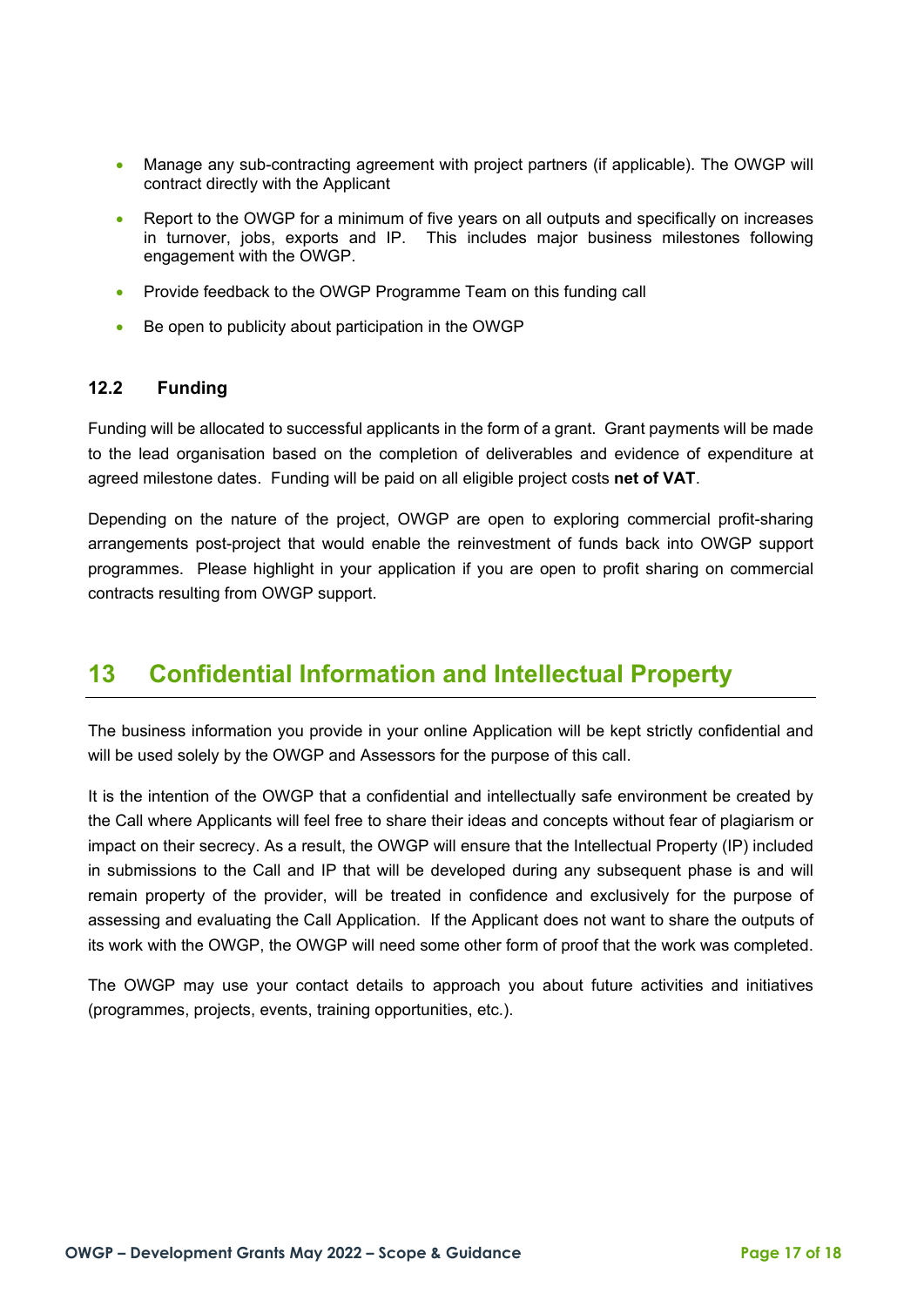- Manage any sub-contracting agreement with project partners (if applicable). The OWGP will contract directly with the Applicant
- Report to the OWGP for a minimum of five years on all outputs and specifically on increases in turnover, jobs, exports and IP. This includes major business milestones following engagement with the OWGP.
- Provide feedback to the OWGP Programme Team on this funding call
- Be open to publicity about participation in the OWGP

## **12.2 Funding**

Funding will be allocated to successful applicants in the form of a grant. Grant payments will be made to the lead organisation based on the completion of deliverables and evidence of expenditure at agreed milestone dates. Funding will be paid on all eligible project costs **net of VAT**.

Depending on the nature of the project, OWGP are open to exploring commercial profit-sharing arrangements post-project that would enable the reinvestment of funds back into OWGP support programmes. Please highlight in your application if you are open to profit sharing on commercial contracts resulting from OWGP support.

## <span id="page-16-0"></span>**13 Confidential Information and Intellectual Property**

The business information you provide in your online Application will be kept strictly confidential and will be used solely by the OWGP and Assessors for the purpose of this call.

It is the intention of the OWGP that a confidential and intellectually safe environment be created by the Call where Applicants will feel free to share their ideas and concepts without fear of plagiarism or impact on their secrecy. As a result, the OWGP will ensure that the Intellectual Property (IP) included in submissions to the Call and IP that will be developed during any subsequent phase is and will remain property of the provider, will be treated in confidence and exclusively for the purpose of assessing and evaluating the Call Application. If the Applicant does not want to share the outputs of its work with the OWGP, the OWGP will need some other form of proof that the work was completed.

The OWGP may use your contact details to approach you about future activities and initiatives (programmes, projects, events, training opportunities, etc.).